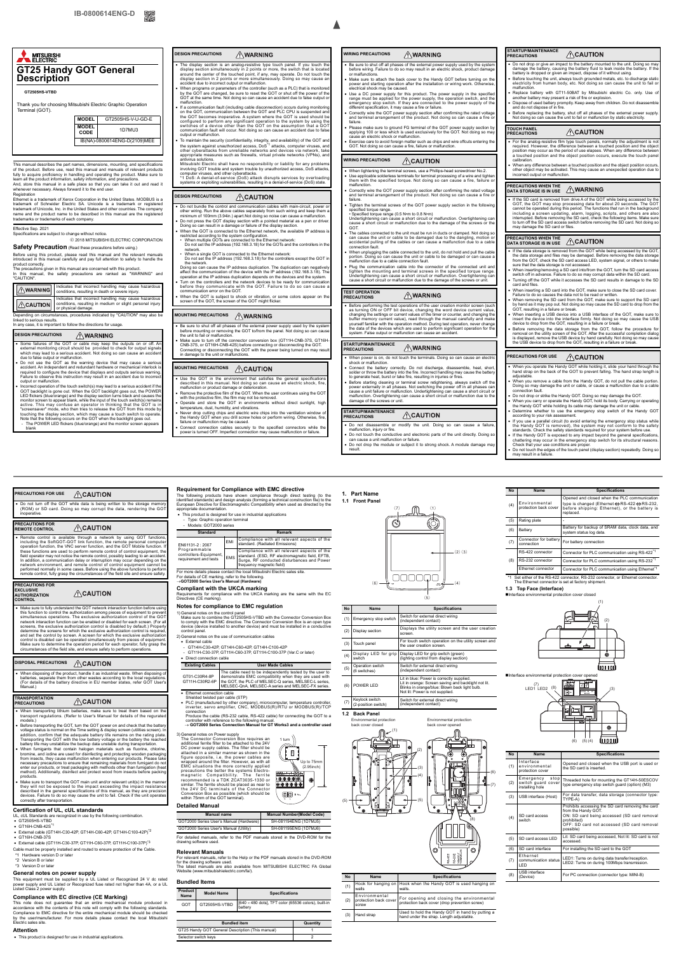Thank you for choosing Mitsubishi Electric Graphic Operation

# MITSUBISHI **GT25 Handy GOT General Description GT2505HS-VTBD**

This manual describes the part names, dimensions, mounting, and specifications of the product. Before use, read this manual and manuals of rele fully to acquire proficiency in handling and operating the product. Make sure to<br>learn all the product information, safety information, and precautions.<br>And, store this manual in a safe place so that you can take it out an



Registration<br>Ethernet is a trademark of Xerox Corporation in the United States. MODBUS is a<br>trademark of Schneider Electric SA. Unicode is a trademark or registered<br>trademark of Unicode, Inc. in the United States and other trademarks or trademarks of each company.

#### **DESIGN PRECAUTIONS** AWARNING

## Effective Sep. 2021

Specifications are subject to change without notice. 2018 MITSUBISHI ELECTRIC CORPORATION

### **Safety Precaution** (Read these precautions before using.)

Before using this product, please read this manual and the relevant manuals introduced in this manual carefully and pay full attention to safety to handle the

product correctly. The precautions given in this manual are concerned with this product. In this manual, the safety precautions are ranked as "WARNING" and "CAUTION".

Depending on circumstances, procedures indicated by "CAUTION" may also be linked to serious results.

In any case, it is important to follow the directions for usage.

#### **DESIGN PRECAUTIONS AWARNING**

• The display section is an analog-resistive type touch panel. If you touch the display section simultaneously in 2 points or more, the switch that is located around the center of the touched point, if any, may operate. Do

• When programs or parameters of the controller (such as a PLC) that is monitored<br>by the GOT are changed, be sure to reset the GOT or shut off the power of the<br>GOT at the same time. Not doing so can cause an accident due malfunction. If a communication fault (including cable disconnection) occurs during m<br>on the GOT, communication between the GOT and PLC CPU is susper

| A WARNING            | Indicates that incorrect handling may cause hazardous<br>conditions, resulting in death or severe injury.                                 |
|----------------------|-------------------------------------------------------------------------------------------------------------------------------------------|
| $ \triangle$ CAUTION | Indicates that incorrect handling may cause hazardous<br>conditions, resulting in medium or slight personal injury<br>or physical damage. |

Some failures of the GOT or cable may keep the outputs on or off. An external monitoring circuit should be provided to check for output signals which may lead to a serious accident. Not doing so can cause an accident

- due to false output or malfunction.<br>• Do not use the GOT as the warning device that may cause a serious<br>accident. An independent and redundant hardware or mechanical interlock is<br>required to configure the device that displ
- Incorrect operation of the touch switch(s) may lead to a serious accident if the COT backlight is gone out. When the GOT backlight goes out, the POWER<br>CED flickers (blue/orange) and the display section turns black and ca equiver this may complete an operator in animally that the GOT from this model. who then tries to release the GOT from this model. touching the display section, which may cause a touch switch to operate. Note that the following occurs on the GOT when the backlight goes out. The POWER LED flickers (blue/orange) and the monitor screen appears

on the GOT, communication between the GOT and PLC CPU is suspended and<br>the GOT becomes inoperative. A system where the GOT is used should be<br>configured to perform any significant operation to the system by using the<br>switch communication fault will occur. Not doing so can cause an accident due to false output or malfunction.

- To maintain the security (confidentiality, integrity, and availability) of the GOT an the system against unauthorized access, DoS<sup>\*1</sup> attacks, computer viruses, and<br>other cyberattacks from unreliable networks and devices via network, take appropriate measures such as firewalls, virtual private networks (VPNs), and antivirus solutions. Mitsubishi Electric shall have no responsibility or liability for any problems
- involving GOT trouble and system trouble by unauthorized access, DoS attacks, computer viruses, and other cyberattacks. \*1 DoS: A denial-of-service (DoS) attack disrupts services by overloading

#### **DESIGN PRECAUTIONS**  $\bigwedge$ CAUTION

- trol and communication cables with ma other wiring. Run the above cables separately from such wiring and keep them a<br>minimum of 100mm (3.94in.) apart.Not doing so noise can cause a malfunction.<br>• Do not press the GOT display section with a pointed material as
- 
- When the GOT is connected to the Ethernet network, the available IP address is<br>restricted according to the system configuration.<br>• When multiple GOTs are connected to the Ethernet network:<br>Do not set the IP address (192.
- network. When a single GOT is connected to the Ethernet network: Do not set the IP address (192.168.3.18) for the controllers except the GOT in
- the network. Doing so can cause the IP address duplication. The duplication can negatively affect the communication of the device with the IP address (192.168.3.18). The operation at the IP address duplication depends on the devices and the system.
- Turn on the controllers and the network devices to be ready for communication before they communicate with the GOT. Failure to do so can cause a communication error on the GOT.
- When the GOT is subject to shock or vibration, or some colors appear on the screen of the GOT, the screen of the GOT might flicker.

# **MOUNTING PRECAUTIONS AND WARNING**

blank

- Be sure to shut off all phases of the external power supply used by the system before mounting or removing the GOT to/from the panel. Not doing so can cause the unit to fail or malfunction.
- Make sure to turn off the connector conversion box (GT11H-CNB-37S, GT16H-CNB-42S) before connecting or disconnecting the GOT.<br>Connecting or disconnecting the GOT with the power being turned on may result<br>in damage to the

- Use the GOT in the environment that satisfies the general specifications described in this manual. Not doing so can cause an electric shock, fire, malfunction or product damage or deterioration.
- Remove the protective film of the GOT. When the user continues using the GO<br>with the protective film, the film may not be removed.
- 
- with the protective film, the film may not be removed.<br>
 Operate and store the GOT in environments without direct sunlight, high<br>
temperature, dust, humidity, and vibrations.<br>
 Never drop cutting chips and electic wire c
- 

#### **WIRING PRECAUTIONS** <u>A</u>WARNING

#### **WIRING PRECAUTIONS** ACAUTION

- When tightening the terminal screws, use a Phillips-head screw Use applicable solderless terminals for terminal processing of a wire and tight
- them with the specified torque. Not doing so can cause a fire, failure malfunction. Correctly wire the GOT power supply section after confirming the rated voltage
- and terminal arrangement of the product. Not doing so can cause a fire or failure.
- Tighten the terminal screws of the GOT power supply section in the follow specified torque range.
- specified torque range.<br>• Specified torque range (0.5 N•m to 0.8 N•m)<br>Undertightening can cause a short circuit or malfunction. Overtightening can<br>cause a short circuit or malfunction due to the damage of the screws or the
- GOT.<br>• The cables connected to the unit must be run in ducts or clamped. Not doing so<br>can cause the unit or cable to be damaged due to the dangling, motion or<br>accidental pulling of the cables or can cause a malfunction due
- 
- When unplugging the cable connected to the unit, do not hold and pull the cable portion. Doing so can cause the unit or cable to be damaged or can cause a malfunction due to a cable connection fault.
- Plug the communication cable into the connector of the connected unit and<br>tighten the mounting and terminal screws in the specified torque range.<br>Undertightening can cause a short circuit or malfunction. Overtightening c

# systems or exploiting vulnerabilities, resulting in a denial-of-service (DoS) state.

- Do not drop the module or subject it to strong shock. A module damage may
	- result.
- Do not drop or give an impact to the battery mounted to the unit. Doing so may damage the battery. If the battery for battery if the battery if the battery. If the battery is dropped or given an impact, dispose of it wit
- Before touching the unit, always touch grounded metals, etc. to discharge static electricity from human body, etc. Not doing so can cause the unit to fail or
- malfunction. • Replace battery with GT11-50BAT by Mitsubishi electric Co. only. Use of<br>• Dispose of used battery may present a risk of fire or explosion.<br>• Dispose of used battery promptly. Keep away from children. Do not disassemble<br>•
- Before replacing the battery, shut off all phases of the external power supply. Not doing so can cause the unit to fail or malfunction by static electricity.
- **TOUCH PANEL**

## $\bigwedge$ CAUTION

- For the analog-resistive film type touch panels, normally the adjustment is not required. However, the difference between a burched position and the objection may occur as the period of use elapses. When any difference b
- When any difference between a touched position and the object position occurs, other object may be activated. This may cause an unexpected operation due to incorrect output or malfunction.

## **MOUNTING PRECAUTIONS**

• If the SD card is removed from drive A of the GOT while being accessed by the GOT, the GOT may stop processing data for about 20 seconds. The GOT mannot be operated during this period. The functions that run in the backg may damage the SD card or files.

- Be sure to shut off all phases of the external power supply used by the system before wiring. Failure to do so may result in an electric shock, product damage or malfunctions.
- Make sure to attach the back cover to the Handy GOT before turning on the power and starting operation after the installation or wiring work. Otherwise, electrical shock may be caused.
- Use a DC power supply for this product. The power supply in the specified range must be applied for the power supply, the operation switch, and the emergency stop switch. If they are connected to the power supply of the
- Correctly wire the GOT power supply section after confirming the rated voltage and terminal arrangement of the product. Not doing so can cause a fire or
- failure. Please make sure to ground FG terminal of the GOT power supply section by applying 100 or less which is used exclusively for the GOT. Not doing so may cause an electric shock or malfunction.
- Exercise care to avoid foreign matter such as chips and wire offcuts entering the GOT. Not doing so can cause a fire, failure or malfunction.

- ed in use by the following combination UL, cUL Standards a<br>• GT2505HS-VTBD
- 
- $\cdot$  GT16H-CNB-42S<sup>\*</sup>
- External cable (GT14H-C30-42P, GT14H-C60-42P, GT14H-C100-42P)\*2
- $\cdot$  GT16H-CNB-37S
- External cable (GT11H-C30-37P, GT11H-C60-37P, GT11H-C100-37P)\*3

 Remote control is available through a network by using GOT functions, including the SoftGOT-GOT link function, the remote personal computer operation function, the VNC server function, and the GOT Mobile function. If these functions are used to perform remote control of control equipment, the field operator may not notice the remote control, possibly leading to an accident. In addition, a communication delay or interruption may occur depending on the network environment, and remote control of control equipment cannot be<br>performed normally in some cases. Before using the above functions to perform<br>remote control, fully grasp the circumstances of the field site and ensur

 $\bigwedge$ CAUTION

• Make sure to fully understand the GOT network interaction function before using this function to control the authorization among pieces of equipment to prevent<br>simultaneous operations. The exclusive authorization contro

**ACAUTION** 

#### **TEST OPERATION**  AWARNING **PRECAUTIONS**

• Before performing the test operations of the user creation monitor screen (such<br>as turning ON or OFF bit device, changing the word device current value,<br>changing the settings or current values of the timer or counter, a

#### **STARTUP/MAINTENANCE PRECAUTIONS**

## en power is on, do not touch the terminals. Doing so can cause an el

- shock or malfunction.<br>• Connect the battery correctly. Do not discharge, disassemble, heat, short,<br>• solder or throw the battery into the fire. Incorrect handling may cause the battery<br>• to generate heat, burst or take fir
- 
- Before starting cleaning or terminal screw retightening, always switch off the power externally in all phases. Not switching the power off in all phases can cause a unit failure or malfunction. Undertightening can cause

Before transporting the GOT, turn the GOT power on and check that the battery voltage status is normal on the Time setting & display screen (utilities screen). In addition, confirm that the adequate battery life remains on the rating plate. Transporting the GOT with the low battery voltage or the battery the reached battery life may unstabilize the backup data unstable during transportation.

#### **STARTUP/MAINTENANCE PRECAUTIONS**

 Do not disassemble or modify the unit. Doing so can cause a failure, malfunction, injury or fire. Do not touch the conductive and electronic parts of the unit directly. Doing so can cause a unit malfunction or failure.

- When fumigants that contain halogen materials such as fluorine, chlorine, bromine, and oidine are used for disinfecting and protecting wooden packaging from insects, they cause malfunction when entering our products. Ple products.
- Make sure to transport the GOT main unit and/or relevant unit(s) in the manner they will not be exposed to the impact exceeding the impact resistance described in the general specifications of this manual, as they are precisi devices. Failure to do so may cause the unit to fail. Check if the unit operat correctly after transportation.

# **STARTUP/MAINTENANCE PRECAUTIONS**

GT01-C30R4-8P GT01-C30R4-6F<br>GT11H-C30R2-6P The cable need to be independently tested by the user to demonstrate EMC compatibility when they are used with demonstrate EMC compatibility when they are used with the GOT, the PLC of MELSEC-Q series, MELSEC-L series, MELSEC-QnA, MELSEC-A series and MELSEC-FX series. (2)  $\boxed{\text{Display section}}$  Displays the utility screen and the user creation screen.

 $(6)$   $\rightarrow$   $\rightarrow$   $(4)$ 

 ${\color{black} {\mathbb{M}}}$ 

 $\circledcirc$ 

 $(5)$ 

(5) Operation switch (6 switches)

witch for external direct wiring (independent contact)

**PRECAUTIONS**

Lit in blue: Power is correctly supplied.<br>Lit in orange: Screen saving and backl Lit in orange: Screen saving and backlight not lit. Blinks in orange/blue: Blown back light bulb. Not lit: Power is not supplied.

 $(2)(3)$ 

(4) Environmental ptection back cove

(5) Rating plate

# **PRECAUTIONS WHEN THE DATA STORAGE IS IN USE**

# **PRECAUTIONS WHEN THE DATA STORAGE IS IN USE**

- If the data storage is removed from the GOT while being accessed by the GOT,<br>the data storage and files may be damaged. Before removing the data storage<br>from the GOT, check the SD card access LED, system signal, or other sure that the data storage is not accessed.
- When inserting/removing a SD card into/from the GOT, turn the SD card access switch off in advance. Failure to do so may corrupt data within the SD card. Turning off the GOT while it accesses the SD card results in damage to the S<br>card and files
- 
- card and files.<br>
 When inserting a SD card into the GOT, make sure to close the SD card cover.<br>
 Failure to do so causes the data not to be read or written.<br>
 When removing the SD card from the GOT, make sure to support
- 
- When inserting a USB device into a USB interface of the GOT, make sure to<br>therefore insert the device into the interface firmly. Not doing so may cause the USB<br>device to drop from the GOT, resulting in a failure or break

## **PRECAUTIONS FOR USE ALCAUTION**

- When you operate the Handy GOT while holding it, slide your hand through the hand strap on the back of the GOT to prevent falling. The hand strap length is adjustable. When you remove a cable from the Handy GOT, do not pull the cable portion. Doing so may damage the unit or cable, or cause a malfunction due to a cable connection fault.
- 
- Do not drop or strike the Handy GOT. Doing so may damage the GOT. When you carry or operate the Handy GOT, hold its body. Carrying or operating the Handy GOT while holding its cable may damage the unit or cable.
- Determine whether to use the emergency stop switch of the Handy GO according to your risk assessment. If you use a parallel circuit (to avoid entering the emergency stop status while
- the Handy GOT is removed), the system may not conform to the safety standards. Check the safety standards required for your system before use.
- If the Handy GOT is exposed to any impact beyond the general specifications, chattering may occur in the emergency stop switch for its structural reasons. Check that your use conditions are proper. Do not touch the edges of the touch panel (display section) repeatedly. Doing s
- may result in a failure.

Opened and closed when the PLC communication type is changed (Ethernet⇔RS-422⇔RS-232,<br>before shipping: Ethernet), or the battery is<br>replaced.

### **Certification of UL, cUL standards**

Cable must be properly installed and routed to ensure protection of the Cable.

- \*1 Hardware version D or later
- \*2 Version B or later
- \*3 Version D or later

### **General notes on power supply**

This equipment must be supplied by a UL Listed or Recognized 24 V dc rated power supply and UL Listed or Recognized fuse rated not higher than 4A, or a UL Listed Class 2 power supply.

## **Compliance with EC directive (CE Marking)**

This note does not guarantee that an entire mechanical module produced in accordance with the contents of this note will comply with the following standards. Compliance to EMC directive for the entire mechanical module should be checked by the user/manufacturer. For more details please contact the local Mitsubishi Electric sales site.

#### **Attention**

This product is designed for use in industrial applications.

Produce the cable (RS-232 cable, RS-422 cable) for connecting the GOT to a controller with reference to the following manual.<br>→ GOT2000 Series Connection Manual for GT Works3 and a controller used

**Requirement for Compliance with EMC directive**

This product is designed for use in industrial applications

opriate documentation

Requirements for comp<br>Directives (CE marking)

- Type: Graphic operation terminal - Models: GOT2000 series

For more details please contact the local Mitsubishi Electric sales site.

For details of CE marking, refer to the following. **GOT2000 Series User's Manual (Hardware) Compliant with the UKCA marking**

**Notes for compliance to EMC regulation**

External cable

- GT14H-C30-42P, GT14H-C60-42P, GT14H-C100-42P

- GT11H-C30-37P, GT11H-C60-37P, GT11H-C100-37P (Ver.C or later)

Direct connection cable

Ethernet connection cable Shielded twisted pair cable (STP)

PLC (manufactured by other company), microcomputer, temperature controller, inverter, servo amplifier, CNC, MODBUS(R)/RTU or MODBUS(R)/TCP connection

1) General notes on the control panel<br>Make sure to combine the GT2505HS-VTBD with the Connector Conversion Box<br>to comply with the EMC directive. The Connector Conversion Box is an open type<br>device (device installed to anot

3) General notes on Power supply The Connector Conversion Box requires an additional ferrite filter to be attached to the 24V  $\widehat{\mathbb{P}}$ DC power supply cables. The filter should be<br>attached in a similar manner as shown in the er as shown in the figure opposite, i.e. the power cables are wrapped around the filter. However, as with all EMC situations the more correctly applied precautions the better the systems Electromagnetic Compatibility. The ferrite recommended is a TDK ZCAT3035-1330 or similar. The ferrite should be placed as near to the 24V DC terminals of the Connector Conversion Box as possible (which should be  $\circledR$ within 75mm of the GOT terminal).

### **Detailed Manual**

For detailed manuals, refer to the PDF manuals stored in the DVD-ROM for the drawing software used.

**Relevant Manuals**<br>For relevant manuals, refer to the Help or the PDF manuals stored in the DVD-ROM For relevant manuals, refer to the Help or the PDF manuals stored in the DVD-ROM<br>for the drawing software used.<br>The latest manuals are also available from MITSUBISHI ELECTRIC FA Global<br>Website (www.mitsubishielectric.com/f

#### **Bundled Items**

**PRECAUTIONS FOR USE**

Do not turn off the GOT while data is being written to the storage memory (ROM) or SD card. Doing so may corrupt the data, rendering the GOT inoperative.

**ACAUTION** 

**PRECAUTIONS FOR REMOTE CONTROL**

**PRECAUTIONS FOR EXCLUSIVE AUTHORIZATION CONTROL**

Make sure to determine the operation period for each operator, fully grasp the circumstances of the field site, and ensure safety to perform operations.

 When disposing of the product, handle it as industrial waste. When disposing of batteries, separate them from other wastes according to the local regulations. (For details of the battery directive in EU member states, refer GOT User's Manual.)

**DISPOSAL PRECAUTIONS** 

**TRANSPORTATION PRECAUTIONS**

When transporting lithium batteries, make sure to treat them based on the transport regulations. (Refer to User's Manual for details of the regurated

**ACAUTION** 

models.)

**Standard Remark**

mpliance with the UKCA marking are the same with the EC

EN61131-2 : 2007 Programmable controllers-Equipment, requirement and tests EMI Compliance with all relevant aspects of the standard. (Radiated Emissions)

EMS

2) General notes on the use of communication cable

Compliance with all relevant aspects of the standard. (ESD, RF electromagnetic field, EFTB, Surge, RF conducted disturbances and Power

frequency magnetic field)

**Existing Cables User Made Cables**

The following products have shown compliance through direct testing (to the<br>identified standards) and design analysis (forming a technical construction file) to the<br>European Directive for Electromagnetic Compatibility when

| <b>Manual name</b>                      | <b>Manual Number(Model Code)</b> |
|-----------------------------------------|----------------------------------|
| GOT2000 Series User's Manual (Hardware) | SH-081194ENG (1D7MJ5)            |
| GOT2000 Series User's Manual (Utility)  | SH-081195ENG (1D7MJ6)            |

| Product<br>Name | <b>Model Name</b> | <b>Specifications</b>                                                  |
|-----------------|-------------------|------------------------------------------------------------------------|
| GOT             | GT2505HS-VTBD     | [640 $\times$ 480 dots], TFT color (65536 colors), built-in<br>battery |

| <b>Bundled item</b>                              | Quantity |
|--------------------------------------------------|----------|
| GT25 Handy GOT General Description (This manual) |          |
| Selector switch keys                             |          |

Up to 75mm (2.95inch)

 $\frac{1}{2}$ 

**1. Part Name 1.1 Front Panel**

**1.2 Back Panel**

\*1 Set either of the RS-422 connector, RS-232 connector, or Ethernet connector.

The Ethernet connector is set at factory shipment.

**1.3 Top Face (Interface)**

Interface environmental protection cover closed

**No Name Specifications** (1) Emergency stop switch Switch for external direct wiring (independent contact)

(3) Touch panel For touch switch operation on the utility screen and the user creation screen.

(4) Display LED for grip switch Display LED for grip switch (green) (lighting control from display section)

(6) POWER LED

(7) Keylock switch (2-position switch)

Switch for external direct wiring (independent contact)

| No                                                     | <b>Name</b> | <b>Specifications</b>                                                                      |
|--------------------------------------------------------|-------------|--------------------------------------------------------------------------------------------|
| (1)                                                    |             | Hook for hanging on Hook when the Handy GOT is used hanging on                             |
| walls                                                  |             | walls.                                                                                     |
| Environmental<br>protection back cover<br>(2)<br>screw |             | For opening and closing the environmental<br>protection back cover (drop prevention screw) |
| Hand strap                                             |             | Used to hold the Handy GOT in hand by putting a                                            |
| (3)                                                    |             | hand under the strap. Length adjustable.                                                   |

(7)

(5)

(6)



(6) Battery Battery for backup of SRAM data, clock data, and system status log data.

RS-422 connector Connector for PLC communication using RS-422<sup>\*1</sup> RS-232 connector Connector for PLC communication using RS-232<sup>\*1</sup> Ethernet connector Connector for PLC communication using Ethernet<sup>\*</sup>

(7) Connector for battery connection For battery connection

(8)

| <b>No</b> | Name                                                       | <b>Specifications</b>                                                                                                                                                                             |  |  |
|-----------|------------------------------------------------------------|---------------------------------------------------------------------------------------------------------------------------------------------------------------------------------------------------|--|--|
| (1)       | Interface<br>environmental<br>protection cover             | Opened and closed when the USB port is used or<br>the SD card is inserted.                                                                                                                        |  |  |
| (2)       | stop<br>Emergency<br>switch guard cover<br>installing hole | Threaded hole for mounting the GT14H-50ESCOV<br>type emergency stop switch guard (option) (M3)                                                                                                    |  |  |
| (3)       | USB interface (Host)                                       | For data transfer, data storage (connector type:<br>TYPE-A)                                                                                                                                       |  |  |
| (4)       | SD card access<br>switch                                   | Prohibits accessing the SD card removing the card<br>from the Handy GOT.<br>ON: SD card being accessed (SD card removal<br>prohibited)<br>OFF: SD card not accessed (SD card removal<br>possible) |  |  |
| (5)       | SD card access LED                                         | Lit: SD card being accessed, Not lit: SD card is not<br>accessed.                                                                                                                                 |  |  |
| (6)       | SD card interface                                          | For installing the SD card to the GOT                                                                                                                                                             |  |  |
| (7)       | Ethernet<br>communication status<br>LED                    | LED1: Turns on during data transfer/reception.<br>LED2: Turns on during 100Mbps transmission.                                                                                                     |  |  |
| (8)       | <b>USB</b> interface<br>(Device)                           | For PC connection (connector type: MINI-B)                                                                                                                                                        |  |  |

**No Name Specifications**

(2)

Ó  $(000000)$ 

(1)

(7) LED1 LED2



ection cover ope

 $\frac{1}{\left|\mathbf{0}\right|}$  (8)

<u> Jel</u>